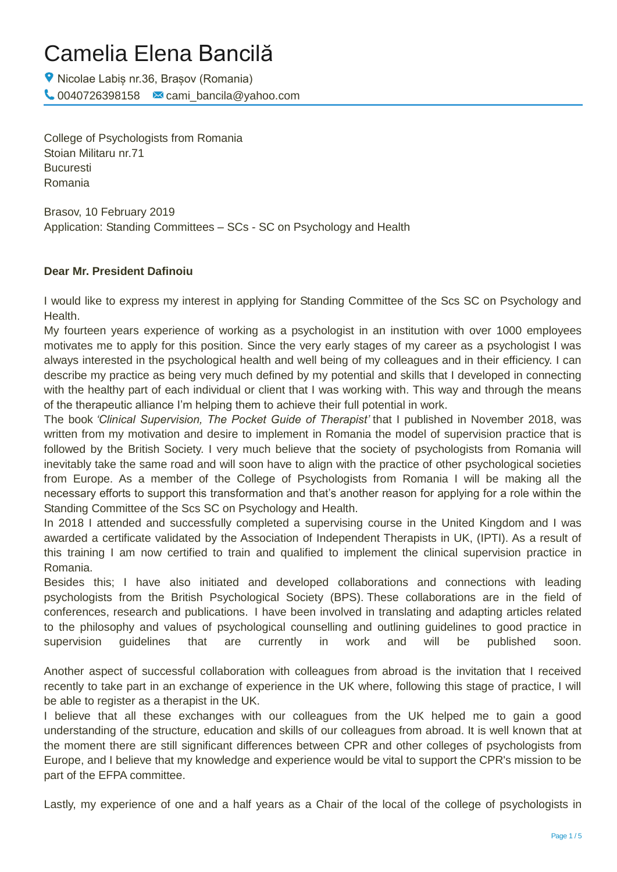# Camelia Elena Bancilă

Nicolae Labiș nr.36, Brașov (Romania)  $\bigcup$  0040726398158  $\bigcup$  cami\_bancila@yahoo.com

College of Psychologists from Romania Stoian Militaru nr.71 Bucuresti Romania

Brasov, 10 February 2019 Application: Standing Committees – SCs - SC on Psychology and Health

# **Dear Mr. President Dafinoiu**

I would like to express my interest in applying for Standing Committee of the Scs SC on Psychology and Health.

My fourteen years experience of working as a psychologist in an institution with over 1000 employees motivates me to apply for this position. Since the very early stages of my career as a psychologist I was always interested in the psychological health and well being of my colleagues and in their efficiency. I can describe my practice as being very much defined by my potential and skills that I developed in connecting with the healthy part of each individual or client that I was working with. This way and through the means of the therapeutic alliance I'm helping them to achieve their full potential in work.

The book *'Clinical Supervision, The Pocket Guide of Therapist'* that I published in November 2018, was written from my motivation and desire to implement in Romania the model of supervision practice that is followed by the British Society. I very much believe that the society of psychologists from Romania will inevitably take the same road and will soon have to align with the practice of other psychological societies from Europe. As a member of the College of Psychologists from Romania I will be making all the necessary efforts to support this transformation and that's another reason for applying for a role within the Standing Committee of the Scs SC on Psychology and Health.

In 2018 I attended and successfully completed a supervising course in the United Kingdom and I was awarded a certificate validated by the Association of Independent Therapists in UK, (IPTI). As a result of this training I am now certified to train and qualified to implement the clinical supervision practice in Romania.

Besides this; I have also initiated and developed collaborations and connections with leading psychologists from the British Psychological Society (BPS). These collaborations are in the field of conferences, research and publications. I have been involved in translating and adapting articles related to the philosophy and values of psychological counselling and outlining guidelines to good practice in supervision guidelines that are currently in work and will be published soon.

Another aspect of successful collaboration with colleagues from abroad is the invitation that I received recently to take part in an exchange of experience in the UK where, following this stage of practice, I will be able to register as a therapist in the UK.

I believe that all these exchanges with our colleagues from the UK helped me to gain a good understanding of the structure, education and skills of our colleagues from abroad. It is well known that at the moment there are still significant differences between CPR and other colleges of psychologists from Europe, and I believe that my knowledge and experience would be vital to support the CPR's mission to be part of the EFPA committee.

Lastly, my experience of one and a half years as a Chair of the local of the college of psychologists in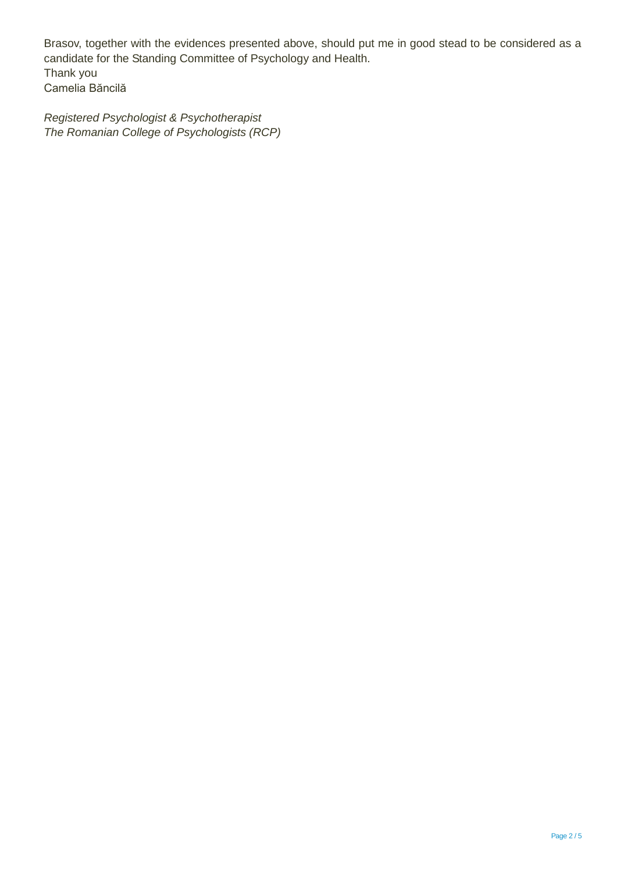Brasov, together with the evidences presented above, should put me in good stead to be considered as a candidate for the Standing Committee of Psychology and Health. Thank you Camelia Băncilă

*Registered Psychologist & Psychotherapist The Romanian College of Psychologists (RCP)*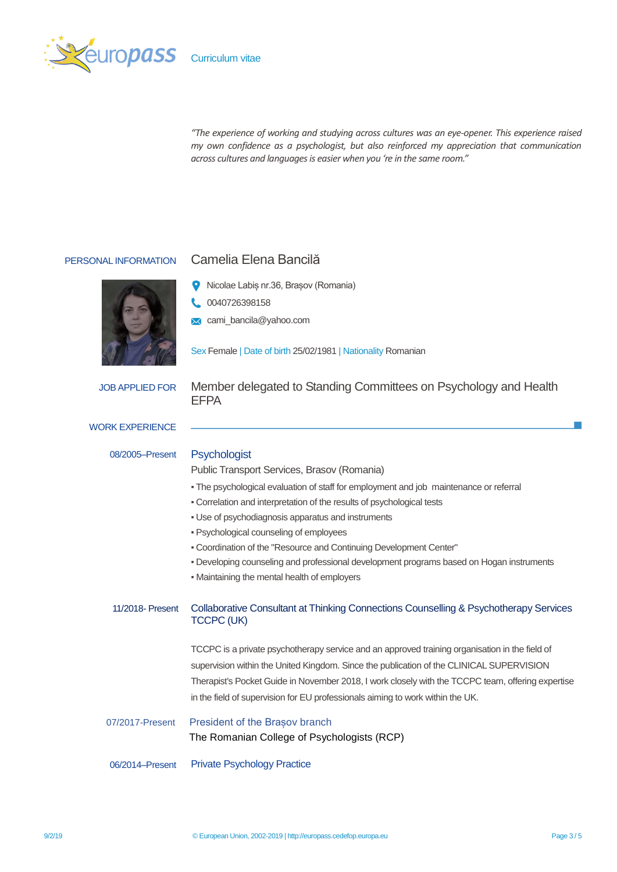

*"The experience of working and studying across cultures was an eye-opener. This experience raised my own confidence as a psychologist, but also reinforced my appreciation that communication across cultures and languages is easier when you 're in the same room."*



# PERSONAL INFORMATION Camelia Elena Bancilă

- Nicolae Labiș nr.36, Brașov (Romania)
- 0040726398158
- **X** cami\_bancila@yahoo.com

Sex Female | Date of birth 25/02/1981 | Nationality Romanian

JOB APPLIED FOR Member delegated to Standing Committees on Psychology and Health EFPA

### WORK EXPERIENCE

08/2005–Present

# **Psychologist**

Public Transport Services, Brasov (Romania)

- The psychological evaluation of staff for employment and job maintenance or referral
- Correlation and interpretation of the results of psychological tests
- Use of psychodiagnosis apparatus and instruments
- Psychological counseling of employees
- Coordination of the "Resource and Continuing Development Center"
- Developing counseling and professional development programs based on Hogan instruments
- Maintaining the mental health of employers

#### 11/2018- Present Collaborative Consultant at Thinking Connections Counselling & Psychotherapy Services TCCPC (UK)

TCCPC is a private psychotherapy service and an approved training organisation in the field of supervision within the United Kingdom. Since the publication of the CLINICAL SUPERVISION Therapist's Pocket Guide in November 2018, I work closely with the TCCPC team, offering expertise in the field of supervision for EU professionals aiming to work within the UK.

# 07/2017-Present President of the Brasov branch The Romanian College of Psychologists (RCP)

06/2014–Present Private Psychology Practice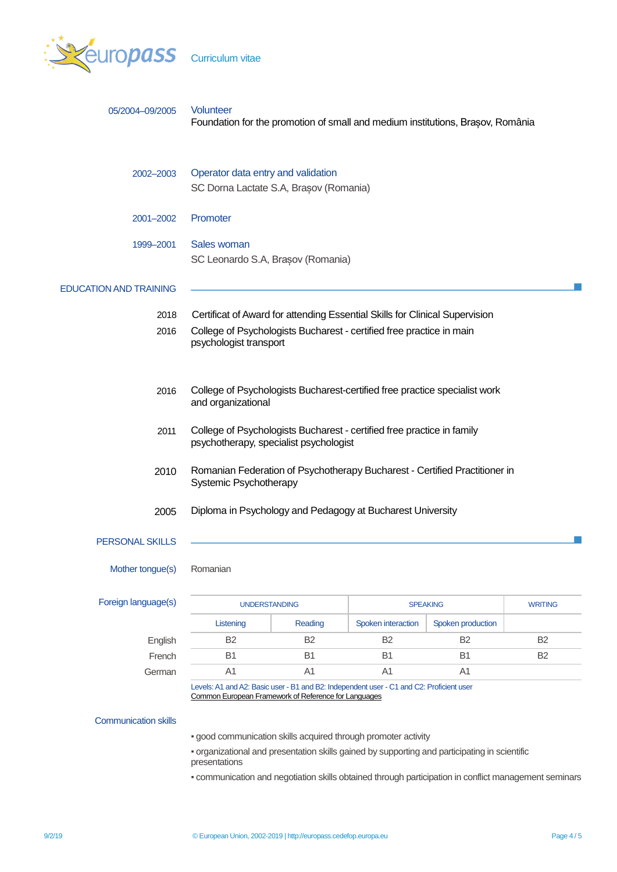

|  |  | <b>Curriculum vitae</b> |
|--|--|-------------------------|
|  |  |                         |
|  |  |                         |
|  |  |                         |

| 05/2004-09/2005               | Volunteer<br>Foundation for the promotion of small and medium institutions, Brasov, România                                                      |                                                            |                    |                   |                |  |  |
|-------------------------------|--------------------------------------------------------------------------------------------------------------------------------------------------|------------------------------------------------------------|--------------------|-------------------|----------------|--|--|
| 2002-2003                     | Operator data entry and validation<br>SC Dorna Lactate S.A, Brașov (Romania)                                                                     |                                                            |                    |                   |                |  |  |
| 2001-2002                     | Promoter                                                                                                                                         |                                                            |                    |                   |                |  |  |
| 1999-2001                     | Sales woman<br>SC Leonardo S.A, Brașov (Romania)                                                                                                 |                                                            |                    |                   |                |  |  |
| <b>EDUCATION AND TRAINING</b> |                                                                                                                                                  |                                                            |                    |                   |                |  |  |
| 2018                          | Certificat of Award for attending Essential Skills for Clinical Supervision                                                                      |                                                            |                    |                   |                |  |  |
| 2016                          | College of Psychologists Bucharest - certified free practice in main<br>psychologist transport                                                   |                                                            |                    |                   |                |  |  |
| 2016                          | College of Psychologists Bucharest-certified free practice specialist work<br>and organizational                                                 |                                                            |                    |                   |                |  |  |
| 2011                          | College of Psychologists Bucharest - certified free practice in family<br>psychotherapy, specialist psychologist                                 |                                                            |                    |                   |                |  |  |
| 2010                          | Romanian Federation of Psychotherapy Bucharest - Certified Practitioner in<br>Systemic Psychotherapy                                             |                                                            |                    |                   |                |  |  |
| 2005                          |                                                                                                                                                  | Diploma in Psychology and Pedagogy at Bucharest University |                    |                   |                |  |  |
| <b>PERSONAL SKILLS</b>        |                                                                                                                                                  |                                                            |                    |                   |                |  |  |
| Mother tongue(s)              | Romanian                                                                                                                                         |                                                            |                    |                   |                |  |  |
| Foreign language(s)           | <b>UNDERSTANDING</b>                                                                                                                             |                                                            | <b>SPEAKING</b>    |                   | <b>WRITING</b> |  |  |
|                               | Listening                                                                                                                                        | Reading                                                    | Spoken interaction | Spoken production |                |  |  |
| English                       | B <sub>2</sub>                                                                                                                                   | B <sub>2</sub>                                             | B <sub>2</sub>     | B <sub>2</sub>    | <b>B2</b>      |  |  |
| French                        | <b>B1</b>                                                                                                                                        | <b>B1</b>                                                  | <b>B1</b>          | <b>B1</b>         | <b>B2</b>      |  |  |
| German                        | A <sub>1</sub>                                                                                                                                   | A <sub>1</sub>                                             | A <sub>1</sub>     | A <sub>1</sub>    |                |  |  |
|                               | Levels: A1 and A2: Basic user - B1 and B2: Independent user - C1 and C2: Proficient user<br>Common European Framework of Reference for Languages |                                                            |                    |                   |                |  |  |

# Communication skills

▪ good communication skills acquired through promoter activity

▪ organizational and presentation skills gained by supporting and participating in scientific presentations

▪ communication and negotiation skills obtained through participation in conflict management seminars